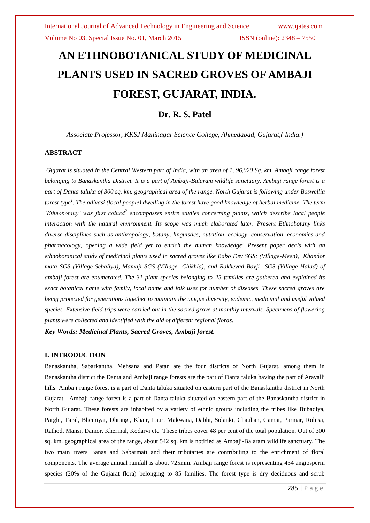# **AN ETHNOBOTANICAL STUDY OF MEDICINAL PLANTS USED IN SACRED GROVES OF AMBAJI FOREST, GUJARAT, INDIA.**

# **Dr. R. S. Patel**

*Associate Professor, KKSJ Maninagar Science College, Ahmedabad, Gujarat,( India.)*

#### **ABSTRACT**

*Gujarat is situated in the Central Western part of India, with an area of 1, 96,020 Sq. km. Ambaji range forest belonging to Banaskantha District. It is a part of Ambaji-Balaram wildlife sanctuary. Ambaji range forest is a part of Danta taluka of 300 sq. km. geographical area of the range. North Gujarat is following under Boswellia forest type<sup>1</sup> . The adivasi (local people) dwelling in the forest have good knowledge of herbal medicine. The term*  'Ethnobotany' was first coined<sup>2</sup> encompasses entire studies concerning plants, which describe local people *interaction with the natural environment. Its scope was much elaborated later. Present Ethnobotany links diverse disciplines such as anthropology, botany, linguistics, nutrition, ecology, conservation, economics and pharmacology, opening a wide field yet to enrich the human knowledge<sup>3</sup> Present paper deals with an ethnobotanical study of medicinal plants used in sacred groves like Babo Dev SGS: (Village-Meen), Khandor mata SGS (Village-Sebaliya), Mamaji SGS (Village -Chikhla), and Rakhevad Bavji SGS (Village-Halad) of ambaji forest are enumerated. The 31 plant species belonging to 25 families are gathered and explained its exact botanical name with family, local name and folk uses for number of diseases. These sacred groves are being protected for generations together to maintain the unique diversity, endemic, medicinal and useful valued species. Extensive field trips were carried out in the sacred grove at monthly intervals. Specimens of flowering plants were collected and identified with the aid of different regional floras.* 

*Key Words: Medicinal Plants, Sacred Groves, Ambaji forest.*

#### **I. INTRODUCTION**

Banaskantha, Sabarkantha, Mehsana and Patan are the four districts of North Gujarat, among them in Banaskantha district the Danta and Ambaji range forests are the part of Danta taluka having the part of Aravalli hills. Ambaji range forest is a part of Danta taluka situated on eastern part of the Banaskantha district in North Gujarat. Ambaji range forest is a part of Danta taluka situated on eastern part of the Banaskantha district in North Gujarat. These forests are inhabited by a variety of ethnic groups including the tribes like Bubadiya, Parghi, Taral, Bhemiyat, Dhrangi, Khair, Laur, Makwana, Dabhi, Solanki, Chauhan, Gamar, Parmar, Rohisa, Rathod, Mansi, Damor, Khermal, Kodarvi etc. These tribes cover 48 per cent of the total population. Out of 300 sq. km. geographical area of the range, about 542 sq. km is notified as Ambaji-Balaram wildlife sanctuary. The two main rivers Banas and Sabarmati and their tributaries are contributing to the enrichment of floral components. The average annual rainfall is about 725mm. Ambaji range forest is representing 434 angiosperm species (20% of the Gujarat flora) belonging to 85 families. The forest type is dry deciduous and scrub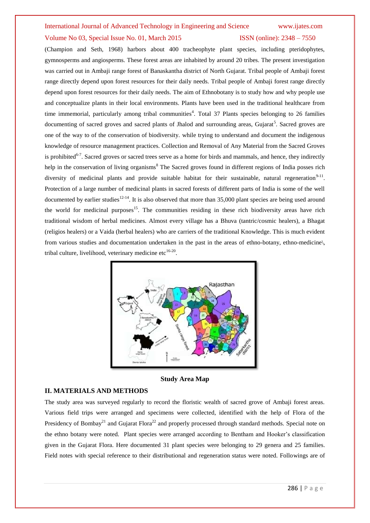#### Volume No 03, Special Issue No. 01, March 2015 **ISSN** (online): 2348 – 7550

(Champion and Seth, 1968) harbors about 400 tracheophyte plant species, including pteridophytes, gymnosperms and angiosperms. These forest areas are inhabited by around 20 tribes. The present investigation was carried out in Ambaji range forest of Banaskantha district of North Gujarat. Tribal people of Ambaji forest range directly depend upon forest resources for their daily needs. Tribal people of Ambaji forest range directly depend upon forest resources for their daily needs. The aim of Ethnobotany is to study how and why people use and conceptualize plants in their local environments. Plants have been used in the traditional healthcare from time immemorial, particularly among tribal communities<sup>4</sup>. Total 37 Plants species belonging to 26 families documenting of sacred groves and sacred plants of Jhalod and surrounding areas, Gujarat<sup>5</sup>. Sacred groves are one of the way to of the conservation of biodiversity. while trying to understand and document the indigenous knowledge of resource management practices. Collection and Removal of Any Material from the Sacred Groves is prohibited<sup>6-7</sup>. Sacred groves or sacred trees serve as a home for birds and mammals, and hence, they indirectly help in the conservation of living organisms<sup>8</sup> The Sacred groves found in different regions of India posses rich diversity of medicinal plants and provide suitable habitat for their sustainable, natural regeneration<sup>9-11</sup>. Protection of a large number of medicinal plants in sacred forests of different parts of India is some of the well documented by earlier studies<sup>12-14</sup>. It is also observed that more than 35,000 plant species are being used around the world for medicinal purposes<sup>15</sup>. The communities residing in these rich biodiversity areas have rich traditional wisdom of herbal medicines. Almost every village has a Bhuva (tantric/cosmic healers), a Bhagat (religios healers) or a Vaida (herbal healers) who are carriers of the traditional Knowledge. This is much evident from various studies and documentation undertaken in the past in the areas of ethno-botany, ethno-medicine\, tribal culture, livelihood, veterinary medicine etc $^{16-20}$ .



**Study Area Map**

#### **II. MATERIALS AND METHODS**

The study area was surveyed regularly to record the floristic wealth of sacred grove of Ambaji forest areas. Various field trips were arranged and specimens were collected, identified with the help of Flora of the Presidency of Bombay<sup>21</sup> and Gujarat Flora<sup>22</sup> and properly processed through standard methods. Special note on the ethno botany were noted. Plant species were arranged according to Bentham and Hooker's classification given in the Gujarat Flora. Here documented 31 plant species were belonging to 29 genera and 25 families. Field notes with special reference to their distributional and regeneration status were noted. Followings are of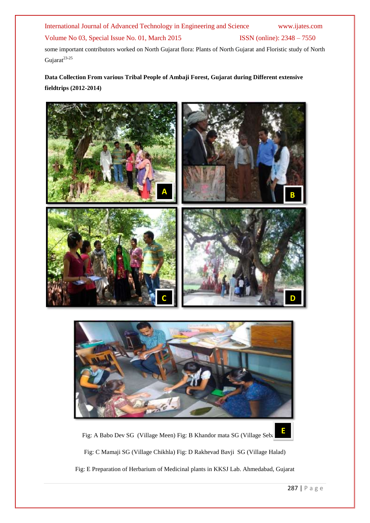## Volume No 03, Special Issue No. 01, March 2015 ISSN (online): 2348 – 7550

some important contributors worked on North Gujarat flora: Plants of North Gujarat and Floristic study of North Gujarat<sup>23-25</sup>

# **Data Collection From various Tribal People of Ambaji Forest, Gujarat during Different extensive fieldtrips (2012-2014)**





Fig: A Babo Dev SG (Village Meen) Fig: B Khandor mata SG (Village Sebal

Fig: C Mamaji SG (Village Chikhla) Fig: D Rakhevad Bavji SG (Village Halad)

Fig: E Preparation of Herbarium of Medicinal plants in KKSJ Lab. Ahmedabad, Gujarat

**E**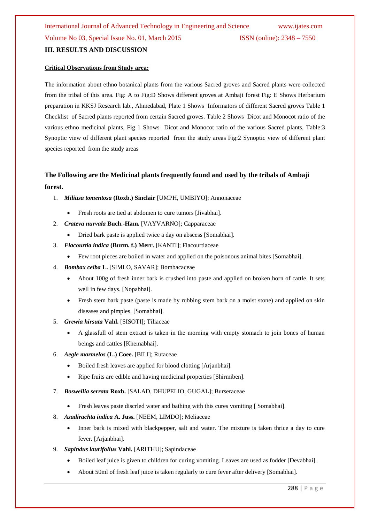#### **Critical Observations from Study area:**

The information about ethno botanical plants from the various Sacred groves and Sacred plants were collected from the tribal of this area. Fig: A to Fig:D Shows different groves at Ambaji forest Fig: E Shows Herbarium preparation in KKSJ Research lab., Ahmedabad, Plate 1 Shows Informators of different Sacred groves Table 1 Checklist of Sacred plants reported from certain Sacred groves. Table 2 Shows Dicot and Monocot ratio of the various ethno medicinal plants, Fig 1 Shows Dicot and Monocot ratio of the various Sacred plants, Table:3 Synoptic view of different plant species reported from the study areas Fig:2 Synoptic view of different plant species reported from the study areas

# **The Following are the Medicinal plants frequently found and used by the tribals of Ambaji forest.**

- 1. *Miliusa tomentosa* **(Roxb.) Sinclair** [UMPH, UMBIYO]; Annonaceae
	- Fresh roots are tied at abdomen to cure tumors [Jivabhai].
- 2. *Crateva nurvala* **Buch.-Ham.** [VAYVARNO]; Capparaceae
	- Dried bark paste is applied twice a day on abscess [Somabhai].
- 3. *Flacourtia indica* **(Burm. f.) Merr.** [KANTI]; Flacourtiaceae
	- Few root pieces are boiled in water and applied on the poisonous animal bites [Somabhai].
- 4. *Bombax ceiba* **L.** [SIMLO, SAVAR]; Bombacaceae
	- About 100g of fresh inner bark is crushed into paste and applied on broken horn of cattle. It sets well in few days. [Nopabhai].
	- Fresh stem bark paste (paste is made by rubbing stem bark on a moist stone) and applied on skin diseases and pimples. [Somabhai].
- 5. *Grewia hirsuta* **Vahl.** [SISOTI[; Tiliaceae
	- A glassfull of stem extract is taken in the morning with empty stomach to join bones of human beings and cattles [Khemabhai].
- 6. *Aegle marmelos* **(L.) Coee.** [BILI]; Rutaceae
	- Boiled fresh leaves are applied for blood clotting [Arjanbhai].
	- Ripe fruits are edible and having medicinal properties [Shirmiben].
- 7. *Boswellia serrata* **Roxb.** [SALAD, DHUPELIO, GUGAL]; Burseraceae
	- Fresh leaves paste discrled water and bathing with this cures vomiting [ Somabhai].
- 8. *Azadirachta indica* **A. Juss.** [NEEM, LIMDO]; Meliaceae
	- Inner bark is mixed with blackpepper, salt and water. The mixture is taken thrice a day to cure fever. [Arjanbhai].
- 9. *Sapindus laurifolius* **Vahl.** [ARITHU]; Sapindaceae
	- Boiled leaf juice is given to children for curing vomiting. Leaves are used as fodder [Devabhai].
	- About 50ml of fresh leaf juice is taken regularly to cure fever after delivery [Somabhai].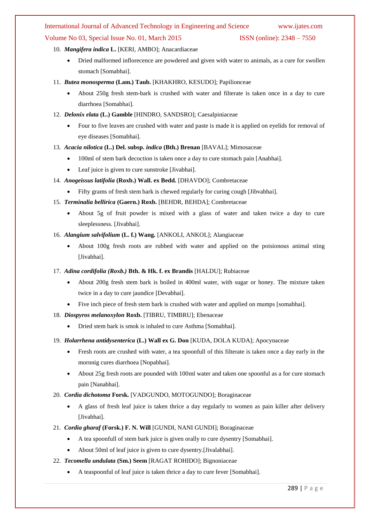#### Volume No 03, Special Issue No. 01, March 2015 **ISSN** (online): 2348 – 7550

#### 10. *Mangifera indica* **L.** [KERI, AMBO]; Anacardiaceae

- Dried malformed inflorecence are powdered and given with water to animals, as a cure for swollen stomach [Somabhai].
- 11. *Butea monosperma* **(Lam.) Taub.** [KHAKHRO, KESUDO]; Papilionceae
	- About 250g fresh stem-bark is crushed with water and filterate is taken once in a day to cure diarrhoea [Somabhai].
- 12. *Delonix elata* **(L.) Gamble** [HINDRO, SANDSRO]; Caesalpiniaceae
	- Four to five leaves are crushed with water and paste is made it is applied on eyelids for removal of eye diseases [Somabhai].
- 13. *Acacia nilotica* **(L.) Del. subsp.** *indica* **(Bth.) Brenan** [BAVAL]; Mimosaceae
	- 100ml of stem bark decoction is taken once a day to cure stomach pain [Anabhai].
	- Leaf juice is given to cure sunstroke [Jivabhai].
- 14. *Anogeissus latifolia* **(Roxb.) Wall. ex Bedd.** [DHAVDO]; Combretaceae
	- Fifty grams of fresh stem bark is chewed regularly for curing cough [Jibvabhai].
- 15. *Terminalia bellirica* **(Gaern.) Roxb.** [BEHDR, BEHDA]; Combretaceae
	- About 5g of fruit powder is mixed with a glass of water and taken twice a day to cure sleeplessness. [Jivabhai].
- 16. *Alangium salvifolium* **(L. f.) Wang.** [ANKOLI, ANKOL]; Alangiaceae
	- About 100g fresh roots are rubbed with water and applied on the poisionous animal sting [Jivabhai].
- 17. *Adina cordifolia (Roxb.)* **Bth. & Hk. f. ex Brandis** [HALDU]; Rubiaceae
	- About 200g fresh stem bark is boiled in 400ml water, with sugar or honey. The mixture taken twice in a day to cure jaundice [Devabhai].
	- Five inch piece of fresh stem bark is crushed with water and applied on mumps [somabhai].
- 18. *Diospyros melanoxylon* **Roxb.** [TIBRU, TIMBRU]; Ebenaceae
	- Dried stem bark is smok is inhaled to cure Asthma [Somabhai].
- 19. *Holarrhena antidysenterica* **(L.) Wall ex G. Don** [KUDA, DOLA KUDA]; Apocynaceae
	- Fresh roots are crushed with water, a tea spoonfull of this filterate is taken once a day early in the mornnig cures diarrhoea [Nopabhai].
	- About 25g fresh roots are pounded with 100ml water and taken one spoonful as a for cure stomach pain [Nanabhai].
- 20. *Cordia dichotoma* **Forsk.** [VADGUNDO, MOTOGUNDO]; Boraginaceae
	- A glass of fresh leaf juice is taken thrice a day regularly to women as pain killer after delivery [Jivabhai].
- 21. *Cordia gharaf* **(Forsk.) F. N. Will** [GUNDI, NANI GUNDI]; Boraginaceae
	- A tea spoonfull of stem bark juice is given orally to cure dysentry [Somabhai].
	- About 50ml of leaf juice is given to cure dysentry.[Jivalabhai].
- 22. *Tecomella undulata* **(Sm.) Seem** [RAGAT ROHIDO]; Bignoniaceae
	- A teaspoonful of leaf juice is taken thrice a day to cure fever [Somabhai].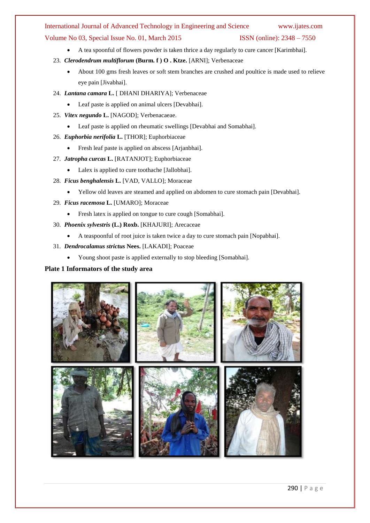#### Volume No 03, Special Issue No. 01, March 2015 ISSN (online): 2348 – 7550

- A tea spoonful of flowers powder is taken thrice a day regularly to cure cancer [Karimbhai].
- 23. *Clerodendrum multiflorum* **(Burm. f ) O . Ktze.** [ARNI]; Verbenaceae
	- About 100 gms fresh leaves or soft stem branches are crushed and poultice is made used to relieve eye pain [Jivabhai].
- 24. *Lantana camara* **L.** [ DHANI DHARIYA]; Verbenaceae
	- Leaf paste is applied on animal ulcers [Devabhai].
- 25. *Vitex negundo* **L.** [NAGOD]; Verbenacaeae.
	- Leaf paste is applied on rheumatic swellings [Devabhai and Somabhai].
- 26. *Euphorbia nerifolia* **L.** [THOR]; Euphorbiaceae
	- Fresh leaf paste is applied on abscess [Arjanbhai].
- 27. *Jatropha curcas* **L.** [RATANJOT]; Euphorbiaceae
	- Lalex is applied to cure toothache [Jallobhai].
- 28. *Ficus benghalensis* **L.** [VAD, VALLO]; Moraceae
	- Yellow old leaves are steamed and applied on abdomen to cure stomach pain [Devabhai].
- 29. *Ficus racemosa* **L.** [UMARO]; Moraceae
	- Fresh latex is applied on tongue to cure cough [Somabhai].
- 30. *Phoenix sylvestris* **(L.) Roxb.** [KHAJURI]; Arecaceae
	- A teaspoonful of root juice is taken twice a day to cure stomach pain [Nopabhai].
- 31. *Dendrocalamus strictus* **Nees.** [LAKADI]; Poaceae
	- Young shoot paste is applied externally to stop bleeding [Somabhai].

### **Plate 1 Informators of the study area**

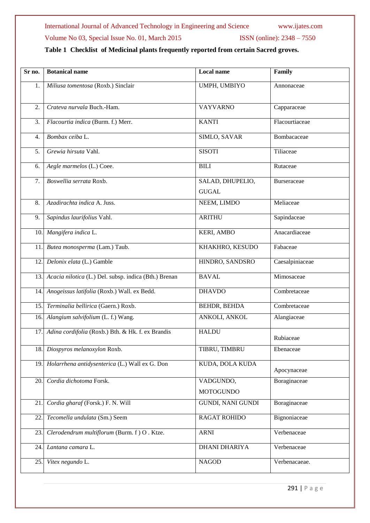# Volume No 03, Special Issue No. 01, March 2015 ISSN (online): 2348 - 7550

# **Table 1 Checklist of Medicinal plants frequently reported from certain Sacred groves.**

| Sr no. | <b>Botanical name</b>                                 | Local name                       | Family          |
|--------|-------------------------------------------------------|----------------------------------|-----------------|
| 1.     | Miliusa tomentosa (Roxb.) Sinclair                    | UMPH, UMBIYO                     | Annonaceae      |
| 2.     | Crateva nurvala Buch.-Ham.                            | <b>VAYVARNO</b>                  | Capparaceae     |
| 3.     | Flacourtia indica (Burm. f.) Merr.                    | <b>KANTI</b>                     | Flacourtiaceae  |
| 4.     | Bombax ceiba L.                                       | SIMLO, SAVAR                     | Bombacaceae     |
| 5.     | Grewia hirsuta Vahl.                                  | <b>SISOTI</b>                    | Tiliaceae       |
| 6.     | Aegle marmelos (L.) Coee.                             | <b>BILI</b>                      | Rutaceae        |
| 7.     | Boswellia serrata Roxb.                               | SALAD, DHUPELIO,<br><b>GUGAL</b> | Burseraceae     |
| 8.     | Azadirachta indica A. Juss.                           | NEEM, LIMDO                      | Meliaceae       |
| 9.     | Sapindus laurifolius Vahl.                            | <b>ARITHU</b>                    | Sapindaceae     |
| 10     | Mangifera indica L.                                   | <b>KERI, AMBO</b>                | Anacardiaceae   |
| 11.    | Butea monosperma (Lam.) Taub.                         | KHAKHRO, KESUDO                  | Fabaceae        |
| 12.    | Delonix elata (L.) Gamble                             | HINDRO, SANDSRO                  | Caesalpiniaceae |
| 13.    | Acacia nilotica (L.) Del. subsp. indica (Bth.) Brenan | <b>BAVAL</b>                     | Mimosaceae      |
| 14.    | Anogeissus latifolia (Roxb.) Wall. ex Bedd.           | <b>DHAVDO</b>                    | Combretaceae    |
| 15.    | Terminalia bellirica (Gaern.) Roxb.                   | BEHDR, BEHDA                     | Combretaceae    |
| 16.    | Alangium salvifolium (L. f.) Wang.                    | ANKOLI, ANKOL                    | Alangiaceae     |
| 17.    | Adina cordifolia (Roxb.) Bth. & Hk. f. ex Brandis     | <b>HALDU</b>                     | Rubiaceae       |
| 18.    | Diospyros melanoxylon Roxb.                           | TIBRU, TIMBRU                    | Ebenaceae       |
| 19     | Holarrhena antidysenterica (L.) Wall ex G. Don        | KUDA, DOLA KUDA                  | Apocynaceae     |
| 20.    | Cordia dichotoma Forsk.                               | VADGUNDO,<br><b>MOTOGUNDO</b>    | Boraginaceae    |
| 21.    | Cordia gharaf (Forsk.) F. N. Will                     | <b>GUNDI, NANI GUNDI</b>         | Boraginaceae    |
| 22     | Tecomella undulata (Sm.) Seem                         | <b>RAGAT ROHIDO</b>              | Bignoniaceae    |
| 23.    | Clerodendrum multiflorum (Burm. f) O. Ktze.           | <b>ARNI</b>                      | Verbenaceae     |
| 24.    | Lantana camara L.                                     | <b>DHANI DHARIYA</b>             | Verbenaceae     |
| 25.    | Vitex negundo L.                                      | <b>NAGOD</b>                     | Verbenacaeae.   |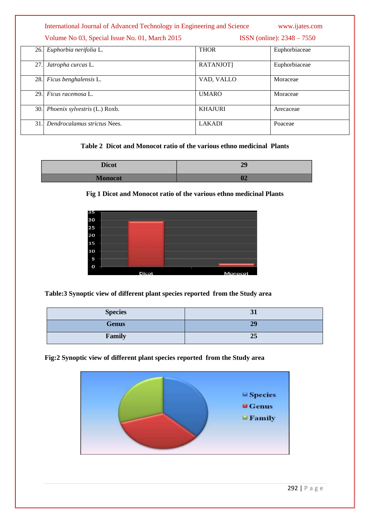|     | International Journal of Advanced Technology in Engineering and Science |                                | www.ijates.com |
|-----|-------------------------------------------------------------------------|--------------------------------|----------------|
|     | Volume No 03, Special Issue No. 01, March 2015                          | $ISSN$ (online): $2348 - 7550$ |                |
| 26. | Euphorbia nerifolia L.                                                  | <b>THOR</b>                    | Euphorbiaceae  |
| 27. | Jatropha curcas L.                                                      | RATANJOT]                      | Euphorbiaceae  |
| 28. | Ficus benghalensis L.                                                   | VAD, VALLO                     | Moraceae       |
| 29. | <i>Ficus racemosa</i> L.                                                | <b>UMARO</b>                   | Moraceae       |
| 30. | Phoenix sylvestris (L.) Roxb.                                           | <b>KHAJURI</b>                 | Arecaceae      |
| 31. | Dendrocalamus strictus Nees.                                            | <b>LAKADI</b>                  | Poaceae        |

#### **Table 2 Dicot and Monocot ratio of the various ethno medicinal Plants**

| Digot<br>$\blacksquare$ | $\sim$ $\sim$ |
|-------------------------|---------------|
| лиопосог                |               |

### **Fig 1 Dicot and Monocot ratio of the various ethno medicinal Plants**



**Table:3 Synoptic view of different plant species reported from the Study area**

| <b>Species</b> | Э1 |
|----------------|----|
| <b>Genus</b>   | 29 |
| Family         | 25 |

# **Fig:2 Synoptic view of different plant species reported from the Study area**

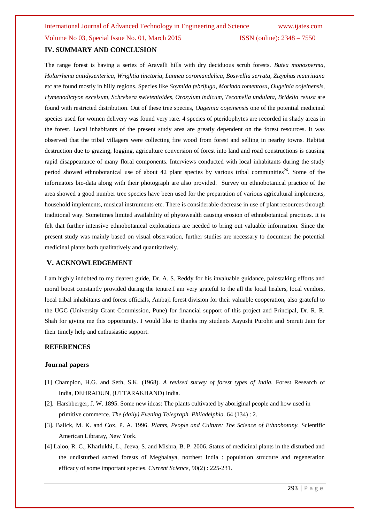The range forest is having a series of Aravalli hills with dry deciduous scrub forests. *Butea monosperma, Holarrhena antidysenterica, Wrightia tinctoria, Lannea coromandelica, Boswellia serrata, Zizyphus mauritiana*  etc are found mostly in hilly regions. Species like *Soymida febrifuga, Morinda tomentosa, Ougeinia oojeinensis, Hymenodictyon excelsum, Schrebera swietenioides, Oroxylum indicum, Tecomella undulata, Bridelia retusa* are found with restricted distribution. Out of these tree species, *Ougeinia oojeinensis* one of the potential medicinal species used for women delivery was found very rare. 4 species of pteridophytes are recorded in shady areas in the forest. Local inhabitants of the present study area are greatly dependent on the forest resources. It was observed that the tribal villagers were collecting fire wood from forest and selling in nearby towns. Habitat destruction due to grazing, logging, agriculture conversion of forest into land and road constructions is causing rapid disappearance of many floral components. Interviews conducted with local inhabitants during the study period showed ethnobotanical use of about 42 plant species by various tribal communities<sup>26</sup>. Some of the informators bio-data along with their photograph are also provided. Survey on ethnobotanical practice of the area showed a good number tree species have been used for the preparation of various agricultural implements, household implements, musical instruments etc. There is considerable decrease in use of plant resources through traditional way. Sometimes limited availability of phytowealth causing erosion of ethnobotanical practices. It is felt that further intensive ethnobotanical explorations are needed to bring out valuable information. Since the present study was mainly based on visual observation, further studies are necessary to document the potential medicinal plants both qualitatively and quantitatively.

#### **V. ACKNOWLEDGEMENT**

I am highly indebted to my dearest guide, Dr. A. S. Reddy for his invaluable guidance, painstaking efforts and moral boost constantly provided during the tenure.I am very grateful to the all the local healers, local vendors, local tribal inhabitants and forest officials, Ambaji forest division for their valuable cooperation, also grateful to the UGC (University Grant Commission, Pune) for financial support of this project and Principal, Dr. R. R. Shah for giving me this opportunity. I would like to thanks my students Aayushi Purohit and Smruti Jain for their timely help and enthusiastic support.

#### **REFERENCES**

#### **Journal papers**

- [1] Champion, H.G. and Seth, S.K. (1968). *A revised survey of forest types of India,* Forest Research of India, DEHRADUN, (UTTARAKHAND) India.
- [2]. Harshberger, J. W. 1895. Some new ideas: The plants cultivated by aboriginal people and how used in primitive commerce. *The (daily) Evening Telegraph. Philadelphia.* 64 (134) : 2.
- [3]. Balick, M. K. and Cox, P. A. 1996. *Plants, People and Culture: The Science of Ethnobotany.* Scientific American Libraray, New York.
- [4] Laloo, R. C., Kharlukhi, L., Jeeva, S. and Mishra, B. P. 2006. Status of medicinal plants in the disturbed and the undisturbed sacred forests of Meghalaya, northest India : population structure and regeneration efficacy of some important species. *Current Science,* 90(2) : 225-231.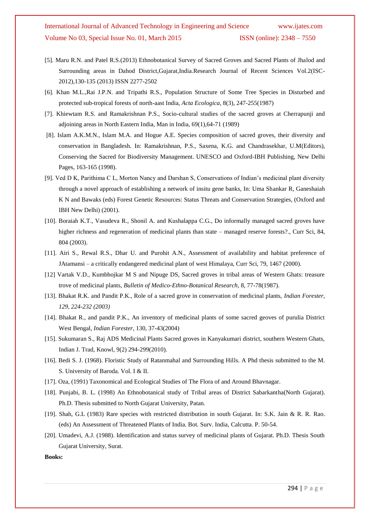- [5]. Maru R.N. and Patel R.S.(2013) Ethnobotanical Survey of Sacred Groves and Sacred Plants of Jhalod and Surrounding areas in Dahod District,Gujarat,India.Research Journal of Recent Sciences Vol.2(ISC-2012),130-135 (2013) ISSN 2277-2502
- [6]. Khan M.L.,Rai J.P.N. and Tripathi R.S., Population Structure of Some Tree Species in Disturbed and protected sub-tropical forests of north-aast India, *Acta Ecologica*, 8(3), 247-255(1987)
- [7]. Khiewtam R.S. and Ramakrishnan P.S., Socio-cultural studies of the sacred groves at Cherrapunji and adjoining areas in North Eastern India, Man in India, 69(1),64-71 (1989)
- [8]. Islam A.K.M.N., Islam M.A. and Hogue A.E. Species composition of sacred groves, their diversity and conservation in Bangladesh. In: Ramakrishnan, P.S., Saxena, K.G. and Chandrasekhar, U.M(Editors), Conserving the Sacred for Biodiversity Management. UNESCO and Oxford-IBH Publishing, New Delhi Pages, 163-165 (1998).
- [9]. Ved D K, Parithima C L, Morton Nancy and Darshan S, Conservations of Indian's medicinal plant diversity through a novel approach of establishing a network of insitu gene banks, In: Uma Shankar R, Ganeshaiah K N and Bawaks (eds) Forest Genetic Resources: Status Threats and Conservation Strategies, (Oxford and IBH New Delhi) (2001).
- [10]. Boraiah K.T., Vasudeva R., Shonil A. and Kushalappa C.G., Do informally managed sacred groves have higher richness and regeneration of medicinal plants than state – managed reserve forests?., Curr Sci, 84, 804 (2003).
- [11]. Airi S., Rewal R.S., Dhar U. and Purohit A.N., Assessment of availability and habitat preference of JAtamansi – a critically endangered medicinal plant of west Himalaya, Curr Sci, 79, 1467 (2000).
- [12] Vartak V.D., Kumbhojkar M S and Nipuge DS, Sacred groves in tribal areas of Western Ghats: treasure trove of medicinal plants, *Bulletin of Medico-Ethno-Botanical Research*, 8, 77-78(1987).
- [13]. Bhakat R.K. and Pandit P.K., Role of a sacred grove in conservation of medicinal plants, *Indian Forester, 129, 224-232 (2003)*
- [14]. Bhakat R., and pandit P.K., An inventory of medicinal plants of some sacred geoves of purulia District West Bengal, *Indian Forester*, 130, 37-43(2004)
- [15]. Sukumaran S., Raj ADS Medicinal Plants Sacred groves in Kanyakumari district, southern Western Ghats, Indian J. Trad, Knowl, 9(2) 294-299(2010).
- [16]. Bedi S. J. (1968). Floristic Study of Ratanmahal and Surrounding Hills. A Phd thesis submitted to the M. S. University of Baroda. Vol. I & II.
- [17]. Oza, (1991) Taxonomical and Ecological Studies of The Flora of and Around Bhavnagar.
- [18]. Punjabi, B. L. (1998) An Ethnobotanical study of Tribal areas of District Sabarkantha(North Gujarat). Ph.D. Thesis submitted to North Gujarat University, Patan.
- [19]. Shah, G.L (1983) Rare species with restricted distribution in south Gujarat. In: S.K. Jain & R. R. Rao. (eds) An Assessment of Threatened Plants of India. Bot. Surv. India, Calcutta. P. 50-54.
- [20]. Umadevi, A.J. (1988). Identification and status survey of medicinal plants of Gujarat. Ph.D. Thesis South Gujarat University, Surat.

**Books:**